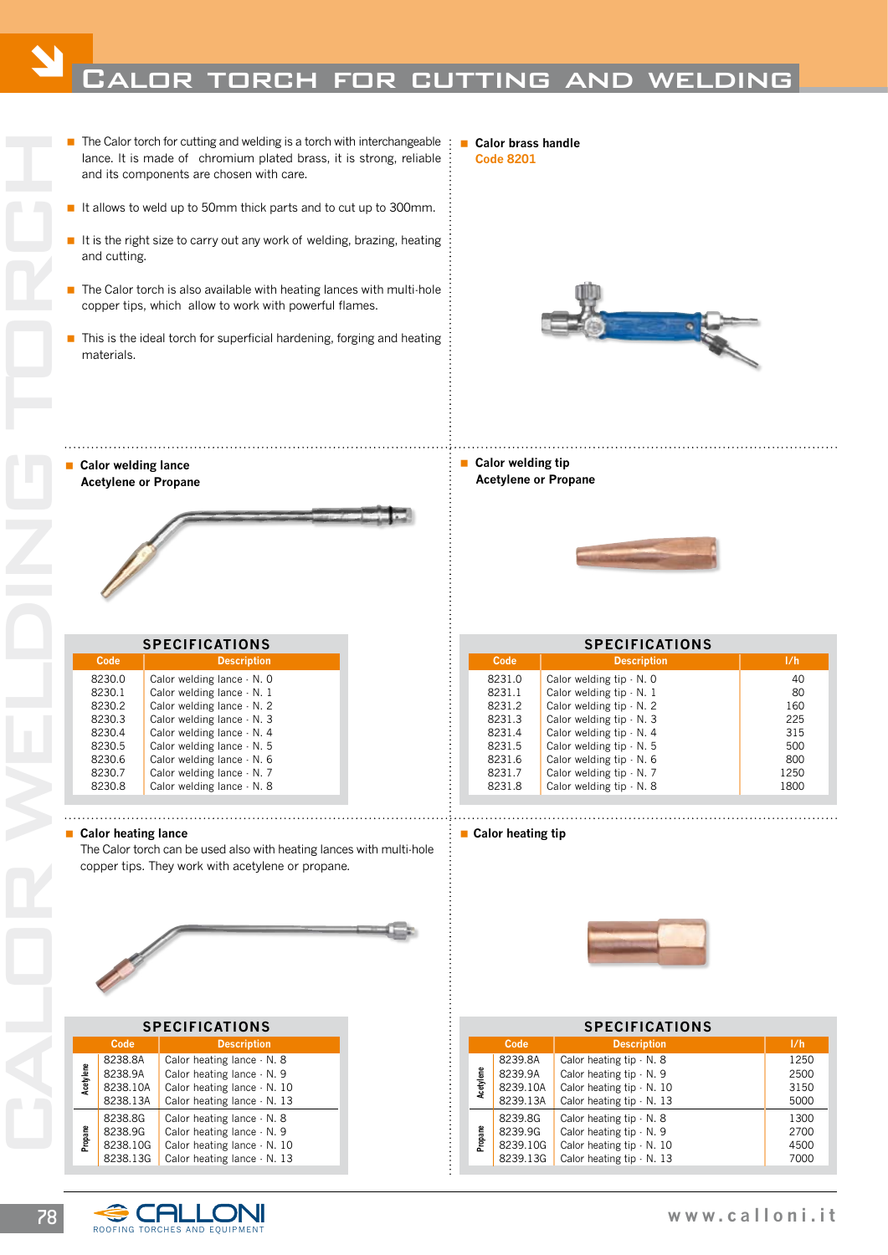## CALOR TORCH FOR CUTTING AND WELDING